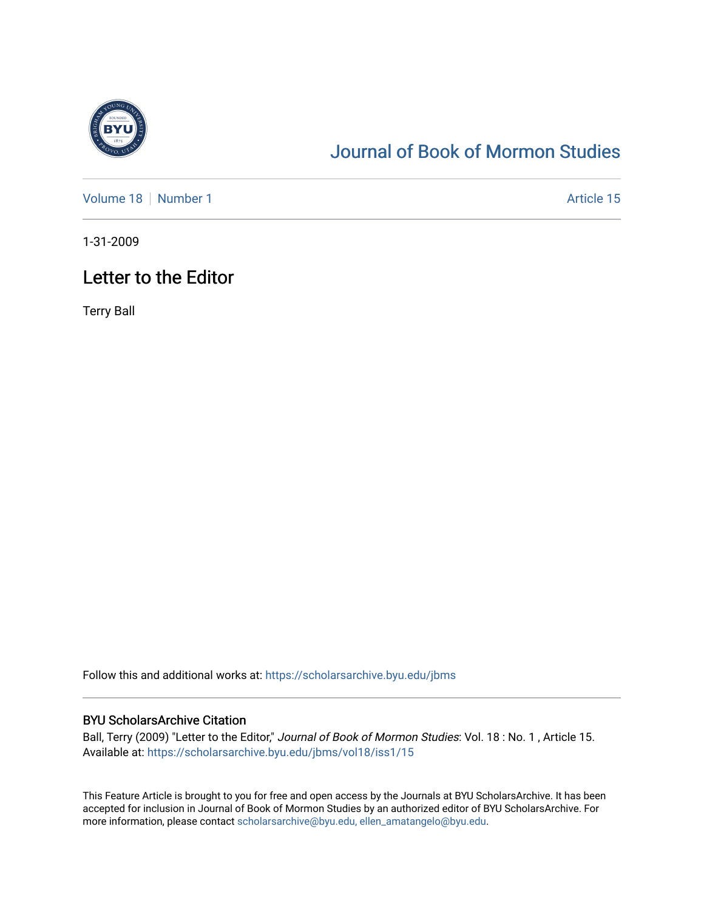

## [Journal of Book of Mormon Studies](https://scholarsarchive.byu.edu/jbms)

[Volume 18](https://scholarsarchive.byu.edu/jbms/vol18) [Number 1](https://scholarsarchive.byu.edu/jbms/vol18/iss1) Article 15

1-31-2009

## Letter to the Editor

Terry Ball

Follow this and additional works at: [https://scholarsarchive.byu.edu/jbms](https://scholarsarchive.byu.edu/jbms?utm_source=scholarsarchive.byu.edu%2Fjbms%2Fvol18%2Fiss1%2F15&utm_medium=PDF&utm_campaign=PDFCoverPages) 

### BYU ScholarsArchive Citation

Ball, Terry (2009) "Letter to the Editor," Journal of Book of Mormon Studies: Vol. 18 : No. 1, Article 15. Available at: [https://scholarsarchive.byu.edu/jbms/vol18/iss1/15](https://scholarsarchive.byu.edu/jbms/vol18/iss1/15?utm_source=scholarsarchive.byu.edu%2Fjbms%2Fvol18%2Fiss1%2F15&utm_medium=PDF&utm_campaign=PDFCoverPages)

This Feature Article is brought to you for free and open access by the Journals at BYU ScholarsArchive. It has been accepted for inclusion in Journal of Book of Mormon Studies by an authorized editor of BYU ScholarsArchive. For more information, please contact [scholarsarchive@byu.edu, ellen\\_amatangelo@byu.edu.](mailto:scholarsarchive@byu.edu,%20ellen_amatangelo@byu.edu)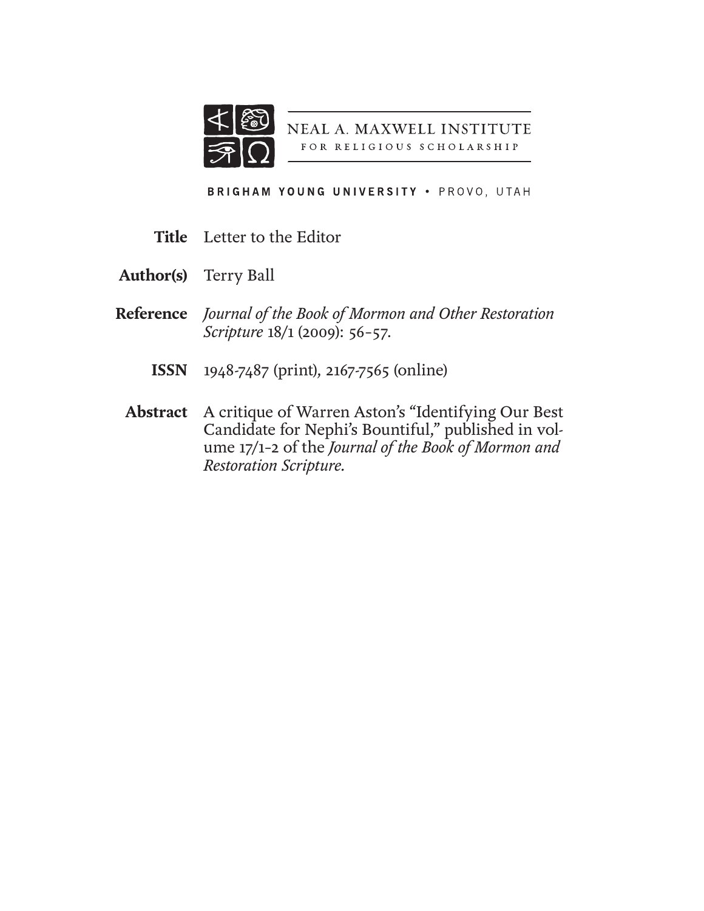

NEAL A. MAXWELL INSTITUTE FOR RELIGIOUS SCHOLARSHIP

BRIGHAM YOUNG UNIVERSITY . PROVO, UTAH

- **Title** Letter to the Editor
- Terry Ball **Author(s)**
- *Journal of the Book of Mormon and Other Restoration*  **Reference** *Scripture* 18/1 (2009): 56–57.
	- 1948-7487 (print), 2167-7565 (online) **ISSN**
	- Abstract A critique of Warren Aston's "Identifying Our Best Candidate for Nephi's Bountiful," published in volume 17/1–2 of the *Journal of the Book of Mormon and Restoration Scripture.*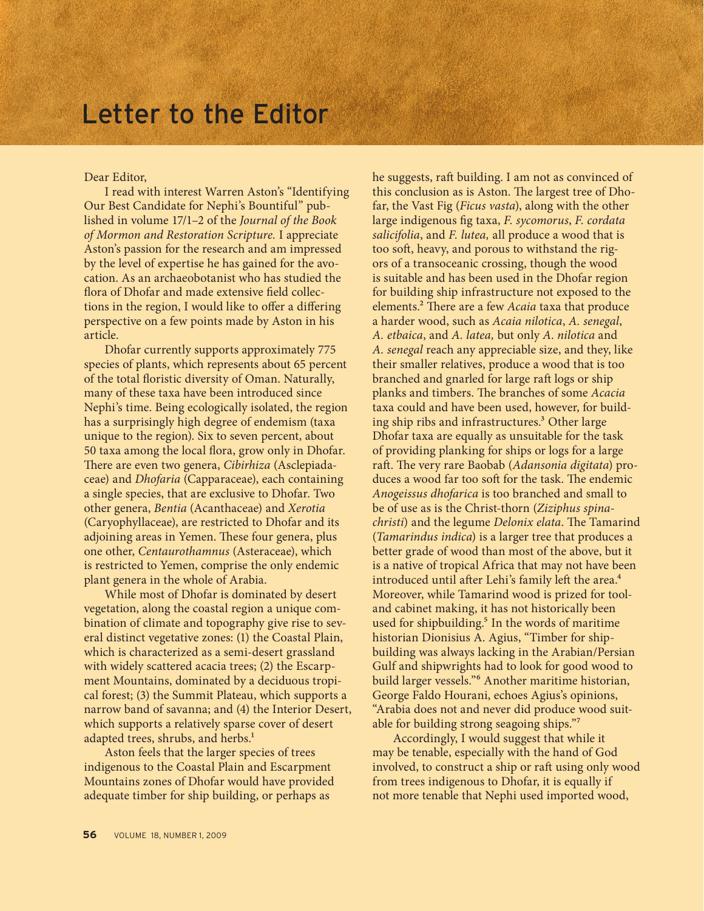# Letter to the Editor

Dear Editor,

I read with interest Warren Aston's "Identifying Our Best Candidate for Nephi's Bountiful" published in volume 17/1–2 of the *Journal of the Book of Mormon and Restoration Scripture.* I appreciate Aston's passion for the research and am impressed by the level of expertise he has gained for the avocation. As an archaeobotanist who has studied the flora of Dhofar and made extensive field collections in the region, I would like to offer a differing perspective on a few points made by Aston in his article.

Dhofar currently supports approximately 775 species of plants, which represents about 65 percent of the total floristic diversity of Oman. Naturally, many of these taxa have been introduced since Nephi's time. Being ecologically isolated, the region has a surprisingly high degree of endemism (taxa unique to the region). Six to seven percent, about 50 taxa among the local flora, grow only in Dhofar. There are even two genera, *Cibirhiza* (Asclepiadaceae) and *Dhofaria* (Capparaceae), each containing a single species, that are exclusive to Dhofar. Two other genera, *Bentia* (Acanthaceae) and *Xerotia* (Caryophyllaceae), are restricted to Dhofar and its adjoining areas in Yemen. These four genera, plus one other, *Centaurothamnus* (Asteraceae), which is restricted to Yemen, comprise the only endemic plant genera in the whole of Arabia.

While most of Dhofar is dominated by desert vegetation, along the coastal region a unique combination of climate and topography give rise to several distinct vegetative zones: (1) the Coastal Plain, which is characterized as a semi-desert grassland with widely scattered acacia trees; (2) the Escarpment Mountains, dominated by a deciduous tropical forest; (3) the Summit Plateau, which supports a narrow band of savanna; and (4) the Interior Desert, which supports a relatively sparse cover of desert adapted trees, shrubs, and herbs.<sup>1</sup>

Aston feels that the larger species of trees indigenous to the Coastal Plain and Escarpment Mountains zones of Dhofar would have provided adequate timber for ship building, or perhaps as

he suggests, raft building. I am not as convinced of this conclusion as is Aston. The largest tree of Dhofar, the Vast Fig (*Ficus vasta*), along with the other large indigenous fig taxa, *F. sycomorus*, *F. cordata salicifolia*, and *F. lutea,* all produce a wood that is too soft, heavy, and porous to withstand the rigors of a transoceanic crossing, though the wood is suitable and has been used in the Dhofar region for building ship infrastructure not exposed to the elements.2 There are a few *Acaia* taxa that produce a harder wood, such as *Acaia nilotica*, *A. senegal*, *A. etbaica*, and *A. latea,* but only *A*. *nilotica* and *A. senegal* reach any appreciable size, and they, like their smaller relatives, produce a wood that is too branched and gnarled for large raft logs or ship planks and timbers. The branches of some *Acacia*  taxa could and have been used, however, for building ship ribs and infrastructures.<sup>3</sup> Other large Dhofar taxa are equally as unsuitable for the task of providing planking for ships or logs for a large raft. The very rare Baobab (*Adansonia digitata*) produces a wood far too soft for the task. The endemic *Anogeissus dhofarica* is too branched and small to be of use as is the Christ-thorn (*Ziziphus spinachristi*) and the legume *Delonix elata*. The Tamarind (*Tamarindus indica*) is a larger tree that produces a better grade of wood than most of the above, but it is a native of tropical Africa that may not have been introduced until after Lehi's family left the area.<sup>4</sup> Moreover, while Tamarind wood is prized for tooland cabinet making, it has not historically been used for shipbuilding. $5$  In the words of maritime historian Dionisius A. Agius, "Timber for shipbuilding was always lacking in the Arabian/Persian Gulf and shipwrights had to look for good wood to build larger vessels."6 Another maritime historian, George Faldo Hourani, echoes Agius's opinions, "Arabia does not and never did produce wood suitable for building strong seagoing ships."7

Accordingly, I would suggest that while it may be tenable, especially with the hand of God involved, to construct a ship or raft using only wood from trees indigenous to Dhofar, it is equally if not more tenable that Nephi used imported wood,